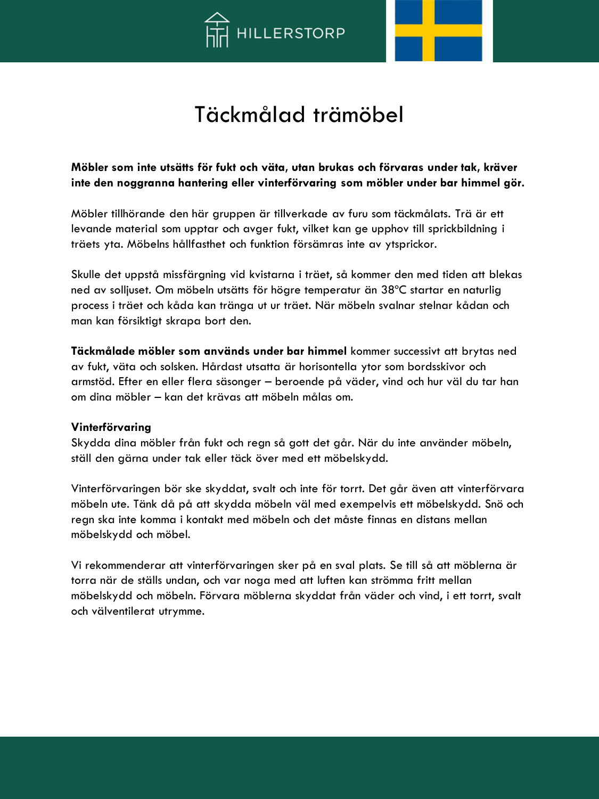



# Täckmålad trämöbel

### **Möbler som inte utsätts för fukt och väta, utan brukas och förvaras under tak, kräver inte den noggranna hantering eller vinterförvaring som möbler under bar himmel gör.**

Möbler tillhörande den här gruppen är tillverkade av furu som täckmålats. Trä är ett levande material som upptar och avger fukt, vilket kan ge upphov till sprickbildning i träets yta. Möbelns hållfasthet och funktion försämras inte av ytsprickor.

Skulle det uppstå missfärgning vid kvistarna i träet, så kommer den med tiden att blekas ned av solljuset. Om möbeln utsätts för högre temperatur än 38ºC startar en naturlig process i träet och kåda kan tränga ut ur träet. När möbeln svalnar stelnar kådan och man kan försiktigt skrapa bort den.

**Täckmålade möbler som används under bar himmel** kommer successivt att brytas ned av fukt, väta och solsken. Hårdast utsatta är horisontella ytor som bordsskivor och armstöd. Efter en eller flera säsonger – beroende på väder, vind och hur väl du tar han om dina möbler – kan det krävas att möbeln målas om.

#### **Vinterförvaring**

Skydda dina möbler från fukt och regn så gott det går. När du inte använder möbeln, ställ den gärna under tak eller täck över med ett möbelskydd.

Vinterförvaringen bör ske skyddat, svalt och inte för torrt. Det går även att vinterförvara möbeln ute. Tänk då på att skydda möbeln väl med exempelvis ett möbelskydd. Snö och regn ska inte komma i kontakt med möbeln och det måste finnas en distans mellan möbelskydd och möbel.

Vi rekommenderar att vinterförvaringen sker på en sval plats. Se till så att möblerna är torra när de ställs undan, och var noga med att luften kan strömma fritt mellan möbelskydd och möbeln. Förvara möblerna skyddat från väder och vind, i ett torrt, svalt och välventilerat utrymme.